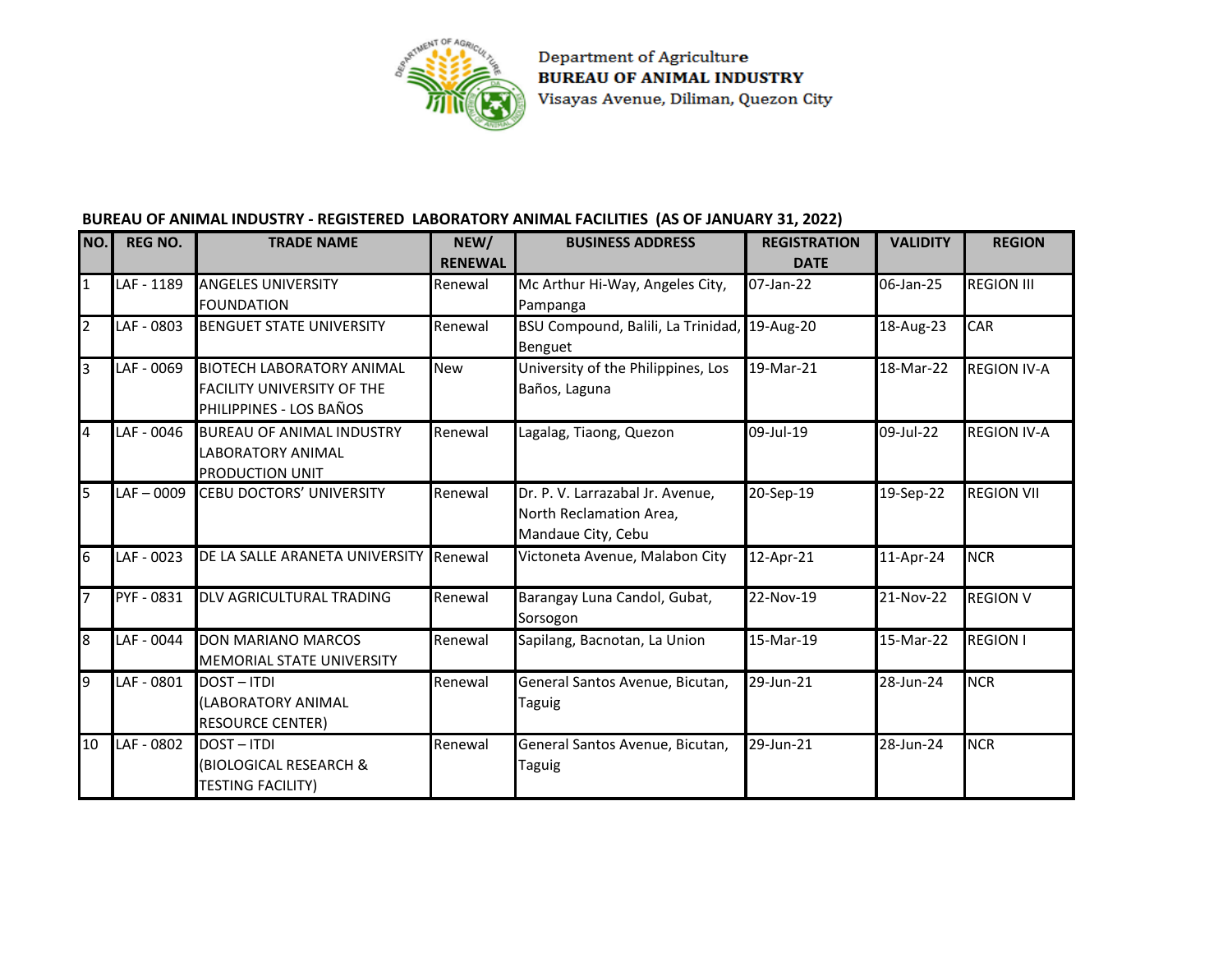

Department of Agriculture **BUREAU OF ANIMAL INDUSTRY** Visayas Avenue, Diliman, Quezon City

## **BUREAU OF ANIMAL INDUSTRY - REGISTERED LABORATORY ANIMAL FACILITIES (AS OF JANUARY 31, 2022)**

| NO.            | <b>REG NO.</b> | <b>TRADE NAME</b>                                                                                | NEW/<br><b>RENEWAL</b> | <b>BUSINESS ADDRESS</b>                                                           | <b>REGISTRATION</b><br><b>DATE</b> | <b>VALIDITY</b> | <b>REGION</b>      |
|----------------|----------------|--------------------------------------------------------------------------------------------------|------------------------|-----------------------------------------------------------------------------------|------------------------------------|-----------------|--------------------|
| $\overline{1}$ | LAF - 1189     | <b>ANGELES UNIVERSITY</b><br><b>FOUNDATION</b>                                                   | Renewal                | Mc Arthur Hi-Way, Angeles City,<br>Pampanga                                       | 07-Jan-22                          | 06-Jan-25       | <b>REGION III</b>  |
| $\overline{2}$ | LAF - 0803     | <b>BENGUET STATE UNIVERSITY</b>                                                                  | Renewal                | BSU Compound, Balili, La Trinidad, 19-Aug-20<br>Benguet                           |                                    | 18-Aug-23       | CAR                |
| $\overline{3}$ | LAF - 0069     | <b>BIOTECH LABORATORY ANIMAL</b><br><b>FACILITY UNIVERSITY OF THE</b><br>PHILIPPINES - LOS BAÑOS | New                    | University of the Philippines, Los<br>Baños, Laguna                               | 19-Mar-21                          | 18-Mar-22       | <b>REGION IV-A</b> |
| $\overline{4}$ | LAF - 0046     | <b>BUREAU OF ANIMAL INDUSTRY</b><br><b>LABORATORY ANIMAL</b><br><b>PRODUCTION UNIT</b>           | Renewal                | Lagalag, Tiaong, Quezon                                                           | 09-Jul-19                          | 09-Jul-22       | <b>REGION IV-A</b> |
| 5              | $LAF - 0009$   | <b>CEBU DOCTORS' UNIVERSITY</b>                                                                  | Renewal                | Dr. P. V. Larrazabal Jr. Avenue,<br>North Reclamation Area,<br>Mandaue City, Cebu | 20-Sep-19                          | 19-Sep-22       | <b>REGION VII</b>  |
| $\overline{6}$ | LAF - 0023     | DE LA SALLE ARANETA UNIVERSITY                                                                   | Renewal                | Victoneta Avenue, Malabon City                                                    | 12-Apr-21                          | 11-Apr-24       | <b>NCR</b>         |
| 7              | PYF - 0831     | DLV AGRICULTURAL TRADING                                                                         | Renewal                | Barangay Luna Candol, Gubat,<br>Sorsogon                                          | 22-Nov-19                          | 21-Nov-22       | <b>REGION V</b>    |
| $\overline{8}$ | LAF - 0044     | <b>DON MARIANO MARCOS</b><br><b>MEMORIAL STATE UNIVERSITY</b>                                    | Renewal                | Sapilang, Bacnotan, La Union                                                      | 15-Mar-19                          | 15-Mar-22       | <b>REGION I</b>    |
| $\overline{9}$ | LAF - 0801     | <b>DOST-ITDI</b><br>(LABORATORY ANIMAL<br><b>RESOURCE CENTER)</b>                                | Renewal                | General Santos Avenue, Bicutan,<br><b>Taguig</b>                                  | 29-Jun-21                          | 28-Jun-24       | <b>NCR</b>         |
| 10             | LAF - 0802     | <b>DOST-ITDI</b><br>(BIOLOGICAL RESEARCH &<br><b>TESTING FACILITY)</b>                           | Renewal                | General Santos Avenue, Bicutan,<br>Taguig                                         | 29-Jun-21                          | 28-Jun-24       | <b>NCR</b>         |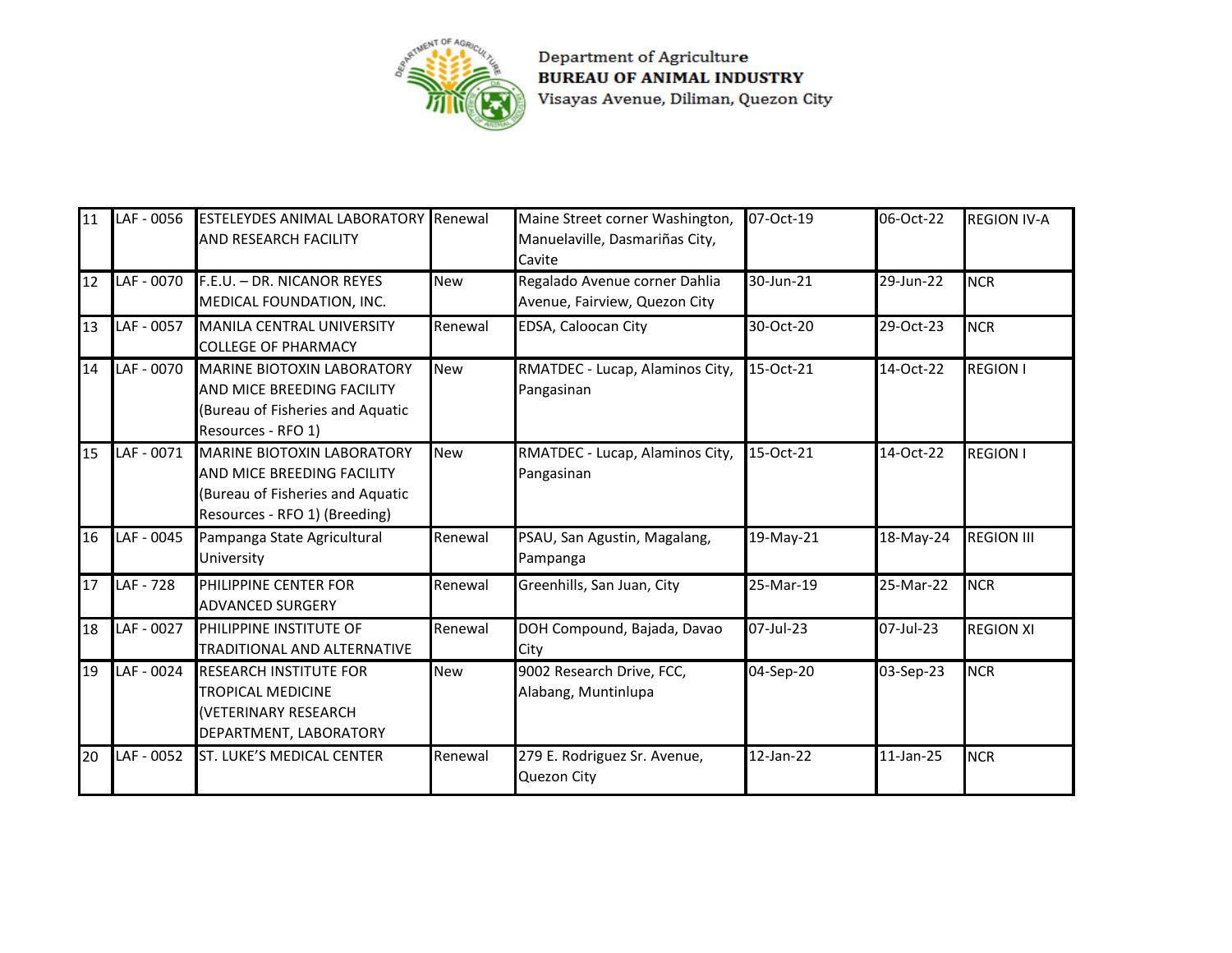

**Department of Agriculture<br>BUREAU OF ANIMAL INDUSTRY** Visayas Avenue, Diliman, Quezon City

| 11 | LAF - 0056 | <b>ESTELEYDES ANIMAL LABORATORY Renewal</b><br><b>AND RESEARCH FACILITY</b>                                                          |            | Maine Street corner Washington,<br>Manuelaville, Dasmariñas City,<br>Cavite | 07-Oct-19 | 06-Oct-22 | <b>REGION IV-A</b> |
|----|------------|--------------------------------------------------------------------------------------------------------------------------------------|------------|-----------------------------------------------------------------------------|-----------|-----------|--------------------|
| 12 | LAF - 0070 | F.E.U. - DR. NICANOR REYES<br>MEDICAL FOUNDATION, INC.                                                                               | <b>New</b> | Regalado Avenue corner Dahlia<br>Avenue, Fairview, Quezon City              | 30-Jun-21 | 29-Jun-22 | <b>NCR</b>         |
| 13 | LAF - 0057 | MANILA CENTRAL UNIVERSITY<br><b>COLLEGE OF PHARMACY</b>                                                                              | Renewal    | EDSA, Caloocan City                                                         | 30-Oct-20 | 29-Oct-23 | <b>NCR</b>         |
| 14 | LAF - 0070 | <b>MARINE BIOTOXIN LABORATORY</b><br>AND MICE BREEDING FACILITY<br>(Bureau of Fisheries and Aquatic<br>Resources - RFO 1)            | <b>New</b> | RMATDEC - Lucap, Alaminos City,<br>Pangasinan                               | 15-Oct-21 | 14-Oct-22 | <b>REGION I</b>    |
| 15 | LAF - 0071 | <b>MARINE BIOTOXIN LABORATORY</b><br>AND MICE BREEDING FACILITY<br>(Bureau of Fisheries and Aquatic<br>Resources - RFO 1) (Breeding) | <b>New</b> | RMATDEC - Lucap, Alaminos City,<br>Pangasinan                               | 15-Oct-21 | 14-Oct-22 | <b>REGION I</b>    |
| 16 | LAF - 0045 | Pampanga State Agricultural<br>University                                                                                            | Renewal    | PSAU, San Agustin, Magalang,<br>Pampanga                                    | 19-May-21 | 18-May-24 | <b>REGION III</b>  |
| 17 | LAF - 728  | PHILIPPINE CENTER FOR<br><b>ADVANCED SURGERY</b>                                                                                     | Renewal    | Greenhills, San Juan, City                                                  | 25-Mar-19 | 25-Mar-22 | <b>NCR</b>         |
| 18 | LAF - 0027 | PHILIPPINE INSTITUTE OF<br><b>TRADITIONAL AND ALTERNATIVE</b>                                                                        | Renewal    | DOH Compound, Bajada, Davao<br>City                                         | 07-Jul-23 | 07-Jul-23 | <b>REGION XI</b>   |
| 19 | LAF - 0024 | <b>RESEARCH INSTITUTE FOR</b><br><b>TROPICAL MEDICINE</b><br>(VETERINARY RESEARCH<br>DEPARTMENT, LABORATORY                          | <b>New</b> | 9002 Research Drive, FCC,<br>Alabang, Muntinlupa                            | 04-Sep-20 | 03-Sep-23 | <b>NCR</b>         |
| 20 | LAF - 0052 | <b>ST. LUKE'S MEDICAL CENTER</b>                                                                                                     | Renewal    | 279 E. Rodriguez Sr. Avenue,<br>Quezon City                                 | 12-Jan-22 | 11-Jan-25 | <b>NCR</b>         |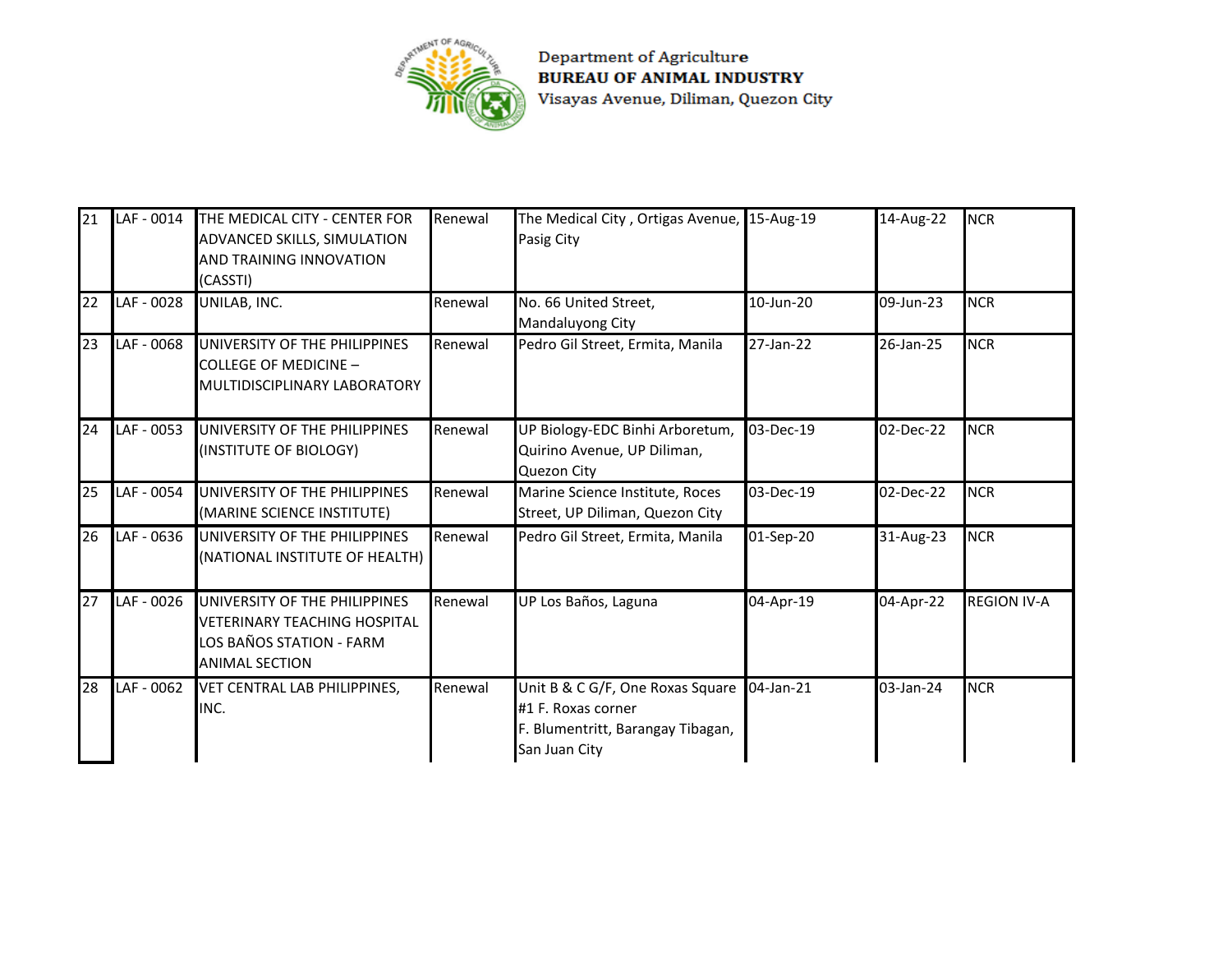

**Department of Agriculture<br>BUREAU OF ANIMAL INDUSTRY** Visayas Avenue, Diliman, Quezon City

| 21 | LAF - 0014 | THE MEDICAL CITY - CENTER FOR<br>ADVANCED SKILLS, SIMULATION<br><b>AND TRAINING INNOVATION</b><br>(CASSTI)                | Renewal | The Medical City, Ortigas Avenue, 15-Aug-19<br>Pasig City                                                    |           | 14-Aug-22 | <b>NCR</b>         |
|----|------------|---------------------------------------------------------------------------------------------------------------------------|---------|--------------------------------------------------------------------------------------------------------------|-----------|-----------|--------------------|
| 22 | LAF - 0028 | UNILAB, INC.                                                                                                              | Renewal | No. 66 United Street,<br>Mandaluyong City                                                                    | 10-Jun-20 | 09-Jun-23 | <b>NCR</b>         |
| 23 | LAF - 0068 | UNIVERSITY OF THE PHILIPPINES<br>COLLEGE OF MEDICINE -<br>MULTIDISCIPLINARY LABORATORY                                    | Renewal | Pedro Gil Street, Ermita, Manila                                                                             | 27-Jan-22 | 26-Jan-25 | <b>NCR</b>         |
| 24 | LAF - 0053 | UNIVERSITY OF THE PHILIPPINES<br>(INSTITUTE OF BIOLOGY)                                                                   | Renewal | UP Biology-EDC Binhi Arboretum,<br>Quirino Avenue, UP Diliman,<br>Quezon City                                | 03-Dec-19 | 02-Dec-22 | <b>NCR</b>         |
| 25 | LAF - 0054 | UNIVERSITY OF THE PHILIPPINES<br>(MARINE SCIENCE INSTITUTE)                                                               | Renewal | Marine Science Institute, Roces<br>Street, UP Diliman, Quezon City                                           | 03-Dec-19 | 02-Dec-22 | <b>NCR</b>         |
| 26 | LAF - 0636 | UNIVERSITY OF THE PHILIPPINES<br>(NATIONAL INSTITUTE OF HEALTH)                                                           | Renewal | Pedro Gil Street, Ermita, Manila                                                                             | 01-Sep-20 | 31-Aug-23 | <b>NCR</b>         |
| 27 | LAF - 0026 | UNIVERSITY OF THE PHILIPPINES<br><b>VETERINARY TEACHING HOSPITAL</b><br>LOS BAÑOS STATION - FARM<br><b>ANIMAL SECTION</b> | Renewal | UP Los Baños, Laguna                                                                                         | 04-Apr-19 | 04-Apr-22 | <b>REGION IV-A</b> |
| 28 | LAF - 0062 | VET CENTRAL LAB PHILIPPINES.<br>INC.                                                                                      | Renewal | Unit B & C G/F, One Roxas Square<br>#1 F. Roxas corner<br>F. Blumentritt, Barangay Tibagan,<br>San Juan City | 04-Jan-21 | 03-Jan-24 | <b>NCR</b>         |